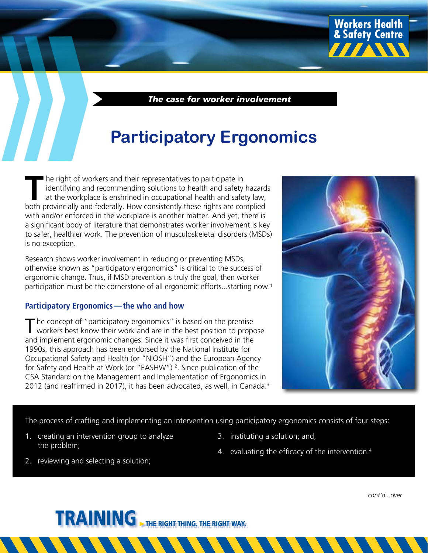*The case for worker involvement*

## **Participatory Ergonomics**

THE R II THE R ISLAM THE R ISLAM TO THE R ISLAM TO THE R ISLAM TO THE R ISLAM TO THE R ISLAM TO THE R ISLAM TO THE R ISLAM TO THE R ISLAM TO THE R ISLAM TO THE R ISLAM TO THE R ISLAM TO THE R ISLAM TO THE R ISLAM TO THE R identifying and recommending solutions to health and safety hazards at the workplace is enshrined in occupational health and safety law, both provincially and federally. How consistently these rights are complied with and/or enforced in the workplace is another matter. And yet, there is a significant body of literature that demonstrates worker involvement is key to safer, healthier work. The prevention of musculoskeletal disorders (MSDs) is no exception.

Research shows worker involvement in reducing or preventing MSDs, otherwise known as "participatory ergonomics" is critical to the success of ergonomic change. Thus, if MSD prevention is truly the goal, then worker participation must be the cornerstone of all ergonomic efforts...starting now.1

#### **Participatory Ergonomics—the who and how**

 $\top$  he concept of "participatory ergonomics" is based on the premise workers best know their work and are in the best position to propose and implement ergonomic changes. Since it was first conceived in the 1990s, this approach has been endorsed by the National Institute for Occupational Safety and Health (or "NIOSH") and the European Agency for Safety and Health at Work (or "EASHW")<sup>2</sup>. Since publication of the CSA Standard on the Management and Implementation of Ergonomics in 2012 (and reaffirmed in 2017), it has been advocated, as well, in Canada.<sup>3</sup>



**Workers Health<br>& Safety Centre** 

**IIIANN** 

The process of crafting and implementing an intervention using participatory ergonomics consists of four steps:

- 1. creating an intervention group to analyze the problem;
- 3. instituting a solution; and,
- 4. evaluating the efficacy of the intervention.<sup>4</sup>

2. reviewing and selecting a solution;

*cont'd...over*

TRAINING THE RIGHT THING. THE RIGHT WAY.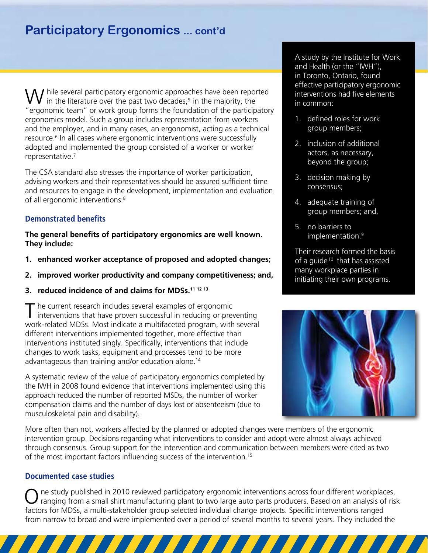### **Participatory Ergonomics ... cont'd**

 $\setminus \bigwedge$  hile several participatory ergonomic approaches have been reported in the literature over the past two decades,<sup>5</sup> in the majority, the "ergonomic team" or work group forms the foundation of the participatory ergonomics model. Such a group includes representation from workers and the employer, and in many cases, an ergonomist, acting as a technical resource.<sup>6</sup> In all cases where ergonomic interventions were successfully adopted and implemented the group consisted of a worker or worker representative.<sup>7</sup>

The CSA standard also stresses the importance of worker participation, advising workers and their representatives should be assured sufficient time and resources to engage in the development, implementation and evaluation of all ergonomic interventions.<sup>8</sup>

#### **Demonstrated benefits**

**The general benefits of participatory ergonomics are well known. They include:**

- **1. enhanced worker acceptance of proposed and adopted changes;**
- **2. improved worker productivity and company competitiveness; and,**
- **3. reduced incidence of and claims for MDSs.11 12 13**

T he current research includes several examples of ergonomic interventions that have proven successful in reducing or preventing work-related MDSs. Most indicate a multifaceted program, with several different interventions implemented together, more effective than interventions instituted singly. Specifically, interventions that include changes to work tasks, equipment and processes tend to be more advantageous than training and/or education alone.14

A systematic review of the value of participatory ergonomics completed by the IWH in 2008 found evidence that interventions implemented using this approach reduced the number of reported MSDs, the number of worker compensation claims and the number of days lost or absenteeism (due to musculoskeletal pain and disability).

More often than not, workers affected by the planned or adopted changes were members of the ergonomic intervention group. Decisions regarding what interventions to consider and adopt were almost always achieved through consensus. Group support for the intervention and communication between members were cited as two of the most important factors influencing success of the intervention.<sup>15</sup>

#### **Documented case studies**

ne study published in 2010 reviewed participatory ergonomic interventions across four different workplaces, ranging from a small shirt manufacturing plant to two large auto parts producers. Based on an analysis of risk factors for MDSs, a multi-stakeholder group selected individual change projects. Specific interventions ranged from narrow to broad and were implemented over a period of several months to several years. They included the

A study by the Institute for Work and Health (or the "IWH"), in Toronto, Ontario, found effective participatory ergonomic interventions had five elements in common:

- 1. defined roles for work group members;
- 2. inclusion of additional actors, as necessary, beyond the group;
- 3. decision making by consensus;
- 4. adequate training of group members; and,
- 5. no barriers to implementation.<sup>9</sup>

Their research formed the basis of a guide  $10$  that has assisted many workplace parties in initiating their own programs.

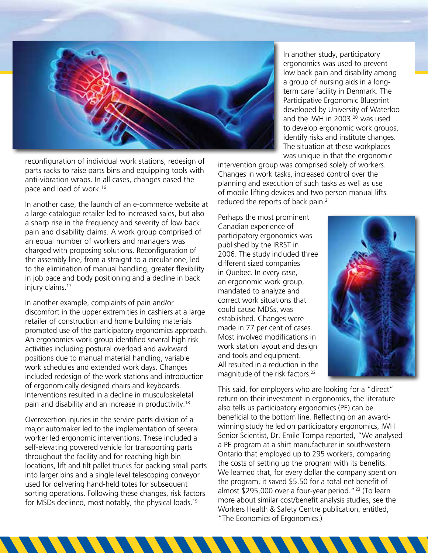

reconfiguration of individual work stations, redesign of parts racks to raise parts bins and equipping tools with anti-vibration wraps. In all cases, changes eased the pace and load of work.16

In another case, the launch of an e-commerce website at a large catalogue retailer led to increased sales, but also a sharp rise in the frequency and severity of low back pain and disability claims. A work group comprised of an equal number of workers and managers was charged with proposing solutions. Reconfiguration of the assembly line, from a straight to a circular one, led to the elimination of manual handling, greater flexibility in job pace and body positioning and a decline in back injury claims.<sup>17</sup>

In another example, complaints of pain and/or discomfort in the upper extremities in cashiers at a large retailer of construction and home building materials prompted use of the participatory ergonomics approach. An ergonomics work group identified several high risk activities including postural overload and awkward positions due to manual material handling, variable work schedules and extended work days. Changes included redesign of the work stations and introduction of ergonomically designed chairs and keyboards. Interventions resulted in a decline in musculoskeletal pain and disability and an increase in productivity.18

Overexertion injuries in the service parts division of a major automaker led to the implementation of several worker led ergonomic interventions. These included a self-elevating powered vehicle for transporting parts throughout the facility and for reaching high bin locations, lift and tilt pallet trucks for packing small parts into larger bins and a single level telescoping conveyor used for delivering hand-held totes for subsequent sorting operations. Following these changes, risk factors for MSDs declined, most notably, the physical loads.19

In another study, participatory ergonomics was used to prevent low back pain and disability among a group of nursing aids in a longterm care facility in Denmark. The Participative Ergonomic Blueprint developed by University of Waterloo and the IWH in 2003 20 was used to develop ergonomic work groups, identify risks and institute changes. The situation at these workplaces was unique in that the ergonomic

intervention group was comprised solely of workers. Changes in work tasks, increased control over the planning and execution of such tasks as well as use of mobile lifting devices and two person manual lifts reduced the reports of back pain.<sup>21</sup>

Perhaps the most prominent Canadian experience of participatory ergonomics was published by the IRRST in 2006. The study included three different sized companies in Quebec. In every case, an ergonomic work group, mandated to analyze and correct work situations that could cause MDSs, was established. Changes were made in 77 per cent of cases. Most involved modifications in work station layout and design and tools and equipment. All resulted in a reduction in the magnitude of the risk factors.<sup>22</sup>



This said, for employers who are looking for a "direct" return on their investment in ergonomics, the literature also tells us participatory ergonomics (PE) can be beneficial to the bottom line. Reflecting on an awardwinning study he led on participatory ergonomics, IWH Senior Scientist, Dr. Emile Tompa reported, "We analysed a PE program at a shirt manufacturer in southwestern Ontario that employed up to 295 workers, comparing the costs of setting up the program with its benefits. We learned that, for every dollar the company spent on the program, it saved \$5.50 for a total net benefit of almost  $$295,000$  over a four-year period."<sup>23</sup> (To learn more about similar cost/benefit analysis studies, see the Workers Health & Safety Centre publication, entitled, "The Economics of Ergonomics.)